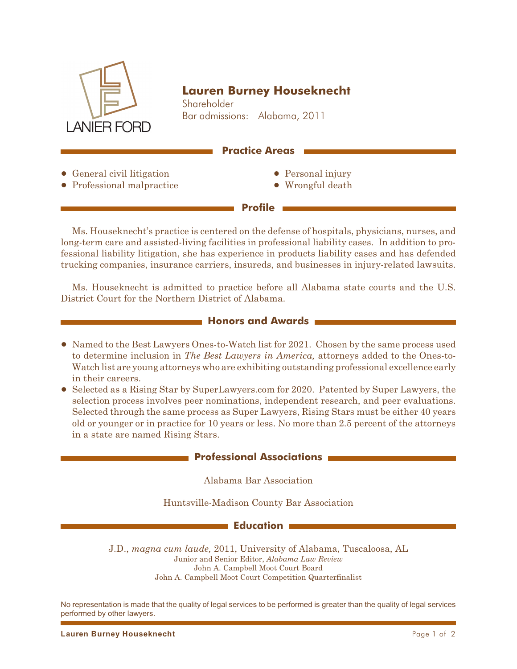

# **Lauren Burney Houseknecht**

Shareholder Bar admissions: Alabama, 2011

### **Practice Areas**

• General civil litigation • Professional malpractice

- Personal injury
- Wrongful death

Ms. Houseknecht's practice is centered on the defense of hospitals, physicians, nurses, and long-term care and assisted-living facilities in professional liability cases. In addition to professional liability litigation, she has experience in products liability cases and has defended trucking companies, insurance carriers, insureds, and businesses in injury-related lawsuits.

**Profile**

Ms. Houseknecht is admitted to practice before all Alabama state courts and the U.S. District Court for the Northern District of Alabama.

### **Honors and Awards**

- Named to the Best Lawyers Ones-to-Watch list for 2021. Chosen by the same process used to determine inclusion in *The Best Lawyers in America,* attorneys added to the Ones-to-Watch list are young attorneys who are exhibiting outstanding professional excellence early in their careers.
- ! Selected as a Rising Star by SuperLawyers.com for 2020. Patented by Super Lawyers, the selection process involves peer nominations, independent research, and peer evaluations. Selected through the same process as Super Lawyers, Rising Stars must be either 40 years old or younger or in practice for 10 years or less. No more than 2.5 percent of the attorneys in a state are named Rising Stars.

## **Professional Associations**

Alabama Bar Association

Huntsville-Madison County Bar Association

#### **Education**

J.D., *magna cum laude,* 2011, University of Alabama, Tuscaloosa, AL Junior and Senior Editor, *Alabama Law Review* John A. Campbell Moot Court Board John A. Campbell Moot Court Competition Quarterfinalist

No representation is made that the quality of legal services to be performed is greater than the quality of legal services performed by other lawyers.